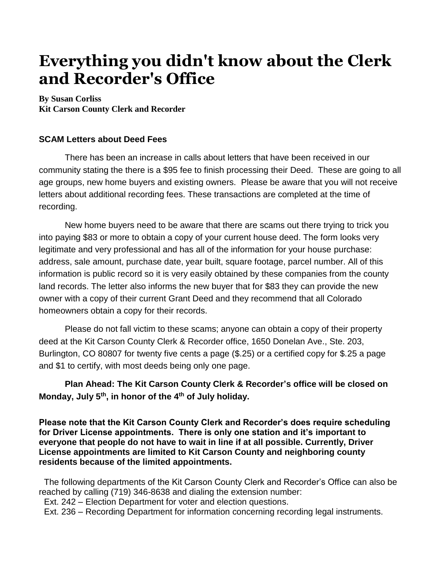## **Everything you didn't know about the Clerk and Recorder's Office**

**By Susan Corliss Kit Carson County Clerk and Recorder**

## **SCAM Letters about Deed Fees**

There has been an increase in calls about letters that have been received in our community stating the there is a \$95 fee to finish processing their Deed. These are going to all age groups, new home buyers and existing owners. Please be aware that you will not receive letters about additional recording fees. These transactions are completed at the time of recording.

New home buyers need to be aware that there are scams out there trying to trick you into paying \$83 or more to obtain a copy of your current house deed. The form looks very legitimate and very professional and has all of the information for your house purchase: address, sale amount, purchase date, year built, square footage, parcel number. All of this information is public record so it is very easily obtained by these companies from the county land records. The letter also informs the new buyer that for \$83 they can provide the new owner with a copy of their current Grant Deed and they recommend that all Colorado homeowners obtain a copy for their records.

Please do not fall victim to these scams; anyone can obtain a copy of their property deed at the Kit Carson County Clerk & Recorder office, 1650 Donelan Ave., Ste. 203, Burlington, CO 80807 for twenty five cents a page (\$.25) or a certified copy for \$.25 a page and \$1 to certify, with most deeds being only one page.

**Plan Ahead: The Kit Carson County Clerk & Recorder's office will be closed on Monday, July 5th, in honor of the 4th of July holiday.** 

**Please note that the Kit Carson County Clerk and Recorder's does require scheduling for Driver License appointments. There is only one station and it's important to everyone that people do not have to wait in line if at all possible. Currently, Driver License appointments are limited to Kit Carson County and neighboring county residents because of the limited appointments.**

The following departments of the Kit Carson County Clerk and Recorder's Office can also be reached by calling (719) 346-8638 and dialing the extension number:

Ext. 242 – Election Department for voter and election questions.

Ext. 236 – Recording Department for information concerning recording legal instruments.